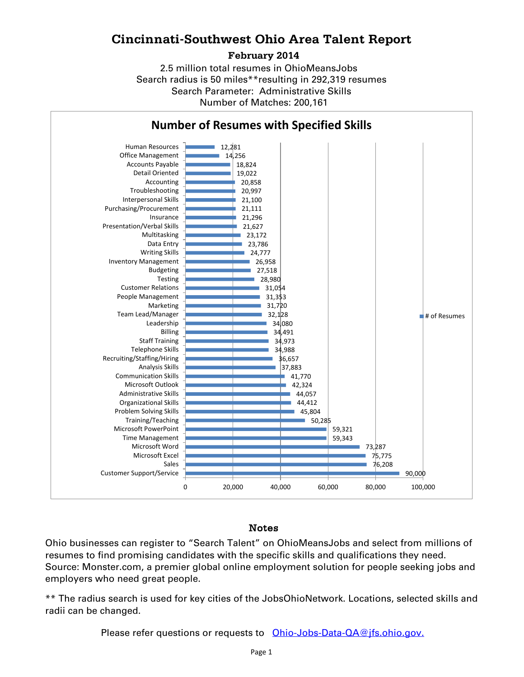## **Cincinnati-Southwest Ohio Area Talent Report**

### **February 2014**

Search radius is 50 miles\*\*resulting in 292,319 resumes Number of Matches: 200,161 Search Parameter: Administrative Skills 2.5 million total resumes in OhioMeansJobs



## Notes

Ohio businesses can register to "Search Talent" on OhioMeansJobs and select from millions of resumes to find promising candidates with the specific skills and qualifications they need. Source: Monster.com, a premier global online employment solution for people seeking jobs and employers who need great people.

\*\* The radius search is used for key cities of the JobsOhioNetwork. Locations, selected skills and radii can be changed.

Please refer questions or requests to [Ohio-Jobs-Data-QA@jfs.ohio.gov.](mailto:Ohio-Jobs-Data-QA@jfs.ohio.gov.)